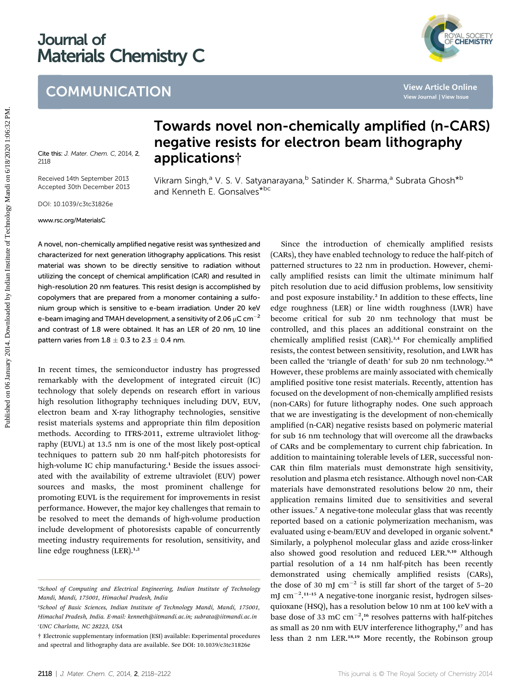# Journal of Materials Chemistry C

### **COMMUNICATION**

ÓYAL SOCIETY<br>PF **CHEMISTRY** 

Cite this: J. Mater. Chem. C, 2014, 2, 2118

Received 14th September 2013 Accepted 30th December 2013

DOI: 10.1039/c3tc31826e

www.rsc.org/MaterialsC

## Towards novel non-chemically amplified (n-CARS) negative resists for electron beam lithography applications†

Vikram Singh,<sup>a</sup> V. S. V. Satyanarayana,<sup>b</sup> Satinder K. Sharma,<sup>a</sup> Subrata Ghosh<sup>\*b</sup>

A novel, non-chemically amplified negative resist was synthesized and characterized for next generation lithography applications. This resist material was shown to be directly sensitive to radiation without utilizing the concept of chemical amplification (CAR) and resulted in high-resolution 20 nm features. This resist design is accomplished by copolymers that are prepared from a monomer containing a sulfonium group which is sensitive to e-beam irradiation. Under 20 keV e-beam imaging and TMAH development, a sensitivity of 2.06  $\mu$ C cm<sup>-2</sup> and contrast of 1.8 were obtained. It has an LER of 20 nm, 10 line pattern varies from  $1.8 \pm 0.3$  to  $2.3 \pm 0.4$  nm.

and Kenneth E. Gonsalves<sup>\*bc</sup>

In recent times, the semiconductor industry has progressed remarkably with the development of integrated circuit (IC) technology that solely depends on research effort in various high resolution lithography techniques including DUV, EUV, electron beam and X-ray lithography technologies, sensitive resist materials systems and appropriate thin film deposition methods. According to ITRS-2011, extreme ultraviolet lithography (EUVL) at 13.5 nm is one of the most likely post-optical techniques to pattern sub 20 nm half-pitch photoresists for high-volume IC chip manufacturing.<sup>1</sup> Beside the issues associated with the availability of extreme ultraviolet (EUV) power sources and masks, the most prominent challenge for promoting EUVL is the requirement for improvements in resist performance. However, the major key challenges that remain to be resolved to meet the demands of high-volume production include development of photoresists capable of concurrently meeting industry requirements for resolution, sensitivity, and line edge roughness  $(LER).^{1,2}$ 

Since the introduction of chemically amplified resists (CARs), they have enabled technology to reduce the half-pitch of patterned structures to 22 nm in production. However, chemically amplified resists can limit the ultimate minimum half pitch resolution due to acid diffusion problems, low sensitivity and post exposure instability.<sup>2</sup> In addition to these effects, line edge roughness (LER) or line width roughness (LWR) have become critical for sub 20 nm technology that must be controlled, and this places an additional constraint on the chemically amplified resist (CAR).<sup>3,4</sup> For chemically amplified resists, the contest between sensitivity, resolution, and LWR has been called the 'triangle of death' for sub 20 nm technology.<sup>5,6</sup> However, these problems are mainly associated with chemically amplified positive tone resist materials. Recently, attention has focused on the development of non-chemically amplified resists (non-CARs) for future lithography nodes. One such approach that we are investigating is the development of non-chemically amplified (n-CAR) negative resists based on polymeric material for sub 16 nm technology that will overcome all the drawbacks of CARs and be complementary to current chip fabrication. In addition to maintaining tolerable levels of LER, successful non-CAR thin film materials must demonstrate high sensitivity, resolution and plasma etch resistance. Although novel non-CAR materials have demonstrated resolutions below 20 nm, their application remains limited due to sensitivities and several other issues.<sup>7</sup> A negative-tone molecular glass that was recently reported based on a cationic polymerization mechanism, was evaluated using e-beam/EUV and developed in organic solvent.<sup>8</sup> Similarly, a polyphenol molecular glass and azide cross-linker also showed good resolution and reduced LER.<sup>9,10</sup> Although partial resolution of a 14 nm half-pitch has been recently demonstrated using chemically amplified resists (CARs), the dose of 30 mJ  $cm^{-2}$  is still far short of the target of 5-20 mJ cm<sup>-2</sup>.<sup>11-15</sup> A negative-tone inorganic resist, hydrogen silsesquioxane (HSQ), has a resolution below 10 nm at 100 keV with a base dose of 33 mC  $cm^{-2}$ ,<sup>16</sup> resolves patterns with half-pitches as small as 20 nm with EUV interference lithography,<sup>17</sup> and has less than 2 nm LER.18,19 More recently, the Robinson group **Published on 11 COMMUNICATION**<br> **Published on 11 Conservation**<br> **Published on 12 Anuary 2014. Altanet Communications and Connect the Conservations of Stationary 2014. Stationary 2014. The conservation of the connect Stati** 

<sup>&</sup>quot;School of Computing and Electrical Engineering, Indian Institute of Technology Mandi, Mandi, 175001, Himachal Pradesh, India

b School of Basic Sciences, Indian Institute of Technology Mandi, Mandi, 175001, Himachal Pradesh, India. E-mail: kenneth@iitmandi.ac.in; subrata@iitmandi.ac.in 'UNC Charlotte, NC 28223, USA

<sup>†</sup> Electronic supplementary information (ESI) available: Experimental procedures and spectral and lithography data are available. See DOI: 10.1039/c3tc31826e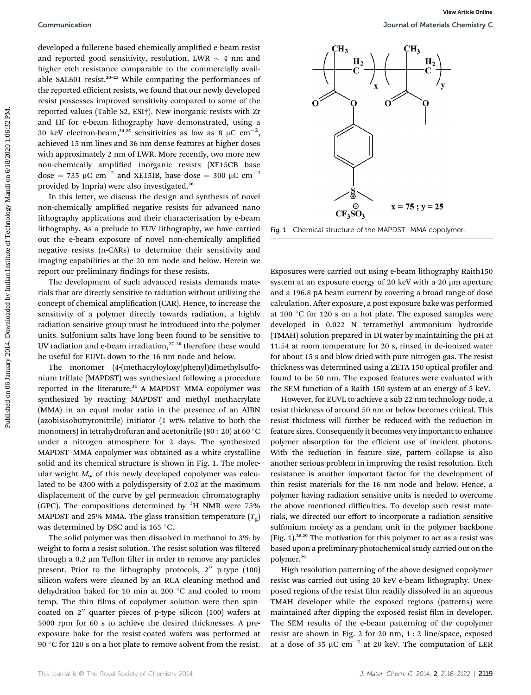developed a fullerene based chemically amplified e-beam resist and reported good sensitivity, resolution, LWR  $\sim$  4 nm and higher etch resistance comparable to the commercially available SAL601 resist.<sup>20-23</sup> While comparing the performances of the reported efficient resists, we found that our newly developed resist possesses improved sensitivity compared to some of the reported values (Table S2, ESI†). New inorganic resists with Zr and Hf for e-beam lithography have demonstrated, using a 30 keV electron-beam,<sup>24,25</sup> sensitivities as low as 8  $\mu$ C cm<sup>-2</sup>, achieved 15 nm lines and 36 nm dense features at higher doses with approximately 2 nm of LWR. More recently, two more new non-chemically amplified inorganic resists (XE15CB base dose = 735  $\mu$ C cm<sup>-2</sup> and XE15IB, base dose = 300  $\mu$ C cm<sup>-2</sup> provided by Inpria) were also investigated.<sup>26</sup> Commutication<br>
developed a fuld on the signal of the signal of the signal of the signal of the signal of the signal of the signal of the signal of the signal of the signal of the signal of the signal of the signal of the

In this letter, we discuss the design and synthesis of novel non-chemically amplified negative resists for advanced nano lithography applications and their characterisation by e-beam lithography. As a prelude to EUV lithography, we have carried out the e-beam exposure of novel non-chemically amplified negative resists (n-CARs) to determine their sensitivity and imaging capabilities at the 20 nm node and below. Herein we report our preliminary findings for these resists.

The development of such advanced resists demands materials that are directly sensitive to radiation without utilizing the concept of chemical amplification (CAR). Hence, to increase the sensitivity of a polymer directly towards radiation, a highly radiation sensitive group must be introduced into the polymer units. Sulfonium salts have long been found to be sensitive to UV radiation and e-beam irradiation, $27-30$  therefore these would be useful for EUVL down to the 16 nm node and below.

The monomer (4-(methacryloyloxy)phenyl)dimethylsulfonium triflate (MAPDST) was synthesized following a procedure reported in the literature.<sup>31</sup> A MAPDST-MMA copolymer was synthesized by reacting MAPDST and methyl methacrylate (MMA) in an equal molar ratio in the presence of an AIBN (azobisisobutryronitrile) initiator (1 wt% relative to both the monomers) in tetrahydrofuran and acetonitrile (80 : 20) at 60  $^{\circ}$ C under a nitrogen atmosphere for 2 days. The synthesized MAPDST–MMA copolymer was obtained as a white crystalline solid and its chemical structure is shown in Fig. 1. The molecular weight  $M_w$  of this newly developed copolymer was calculated to be 4300 with a polydispersity of 2.02 at the maximum displacement of the curve by gel permeation chromatography (GPC). The compositions determined by  ${}^{1}H$  NMR were 75% MAPDST and 25% MMA. The glass transition temperature  $(T_{\rm g})$ was determined by DSC and is 165 °C.

The solid polymer was then dissolved in methanol to 3% by weight to form a resist solution. The resist solution was filtered through a 0.2  $\mu$ m Teflon filter in order to remove any particles present. Prior to the lithography protocols,  $2''$  p-type (100) silicon wafers were cleaned by an RCA cleaning method and dehydration baked for 10 min at 200 °C and cooled to room temp. The thin films of copolymer solution were then spincoated on  $2^{\prime\prime}$  quarter pieces of p-type silicon (100) wafers at 5000 rpm for 60 s to achieve the desired thicknesses. A preexposure bake for the resist-coated wafers was performed at 90  $\degree$ C for 120 s on a hot plate to remove solvent from the resist.



Fig. 1 Chemical structure of the MAPDST–MMA copolymer.

Exposures were carried out using e-beam lithography Raith150 system at an exposure energy of 20 keV with a 20  $\mu$ m aperture and a 196.8 pA beam current by covering a broad range of dose calculation. After exposure, a post exposure bake was performed at 100 $\degree$ C for 120 s on a hot plate. The exposed samples were developed in 0.022 N tetramethyl ammonium hydroxide (TMAH) solution prepared in DI water by maintaining the pH at 11.54 at room temperature for 20 s, rinsed in de-ionized water for about 15 s and blow dried with pure nitrogen gas. The resist thickness was determined using a ZETA 150 optical profiler and found to be 50 nm. The exposed features were evaluated with the SEM function of a Raith 150 system at an energy of 5 keV.

However, for EUVL to achieve a sub 22 nm technology node, a resist thickness of around 50 nm or below becomes critical. This resist thickness will further be reduced with the reduction in feature sizes. Consequently it becomes very important to enhance polymer absorption for the efficient use of incident photons. With the reduction in feature size, pattern collapse is also another serious problem in improving the resist resolution. Etch resistance is another important factor for the development of thin resist materials for the 16 nm node and below. Hence, a polymer having radiation sensitive units is needed to overcome the above mentioned difficulties. To develop such resist materials, we directed our effort to incorporate a radiation sensitive sulfonium moiety as a pendant unit in the polymer backbone (Fig. 1).28,29 The motivation for this polymer to act as a resist was based upon a preliminary photochemical study carried out on the polymer.<sup>29</sup>

High resolution patterning of the above designed copolymer resist was carried out using 20 keV e-beam lithography. Unexposed regions of the resist film readily dissolved in an aqueous TMAH developer while the exposed regions (patterns) were maintained after dipping the exposed resist film in developer. The SEM results of the e-beam patterning of the copolymer resist are shown in Fig. 2 for 20 nm, 1 : 2 line/space, exposed at a dose of 35  $\mu$ C cm<sup>-2</sup> at 20 keV. The computation of LER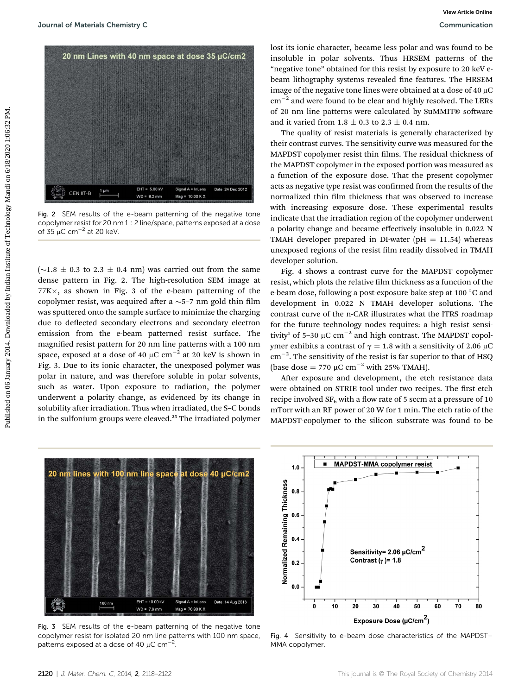

Fig. 2 SEM results of the e-beam patterning of the negative tone copolymer resist for 20 nm 1 : 2 line/space, patterns exposed at a dose of  $35 \mu$ C cm<sup>-2</sup> at 20 keV.

 $(\sim 1.8 \pm 0.3$  to 2.3  $\pm$  0.4 nm) was carried out from the same dense pattern in Fig. 2. The high-resolution SEM image at  $77K \times$ , as shown in Fig. 3 of the e-beam patterning of the copolymer resist, was acquired after a  $\sim$ 5–7 nm gold thin film was sputtered onto the sample surface to minimize the charging due to deflected secondary electrons and secondary electron emission from the e-beam patterned resist surface. The magnified resist pattern for 20 nm line patterns with a 100 nm space, exposed at a dose of 40  $\mu$ C cm<sup>-2</sup> at 20 keV is shown in Fig. 3. Due to its ionic character, the unexposed polymer was polar in nature, and was therefore soluble in polar solvents, such as water. Upon exposure to radiation, the polymer underwent a polarity change, as evidenced by its change in solubility after irradiation. Thus when irradiated, the S-C bonds in the sulfonium groups were cleaved.<sup>25</sup> The irradiated polymer

lost its ionic character, became less polar and was found to be insoluble in polar solvents. Thus HRSEM patterns of the "negative tone" obtained for this resist by exposure to 20 keV ebeam lithography systems revealed fine features. The HRSEM image of the negative tone lines were obtained at a dose of 40  $\mu$ C  $cm^{-2}$  and were found to be clear and highly resolved. The LERs of 20 nm line patterns were calculated by SuMMIT® software and it varied from  $1.8 \pm 0.3$  to  $2.3 \pm 0.4$  nm.

The quality of resist materials is generally characterized by their contrast curves. The sensitivity curve was measured for the MAPDST copolymer resist thin films. The residual thickness of the MAPDST copolymer in the exposed portion was measured as a function of the exposure dose. That the present copolymer acts as negative type resist was confirmed from the results of the normalized thin film thickness that was observed to increase with increasing exposure dose. These experimental results indicate that the irradiation region of the copolymer underwent a polarity change and became effectively insoluble in 0.022 N TMAH developer prepared in DI-water ( $pH = 11.54$ ) whereas unexposed regions of the resist film readily dissolved in TMAH developer solution.

Fig. 4 shows a contrast curve for the MAPDST copolymer resist, which plots the relative film thickness as a function of the e-beam dose, following a post-exposure bake step at 100 °C and development in 0.022 N TMAH developer solutions. The contrast curve of the n-CAR illustrates what the ITRS roadmap for the future technology nodes requires: a high resist sensitivity<sup>1</sup> of 5–30  $\mu$ C cm<sup>-2</sup> and high contrast. The MAPDST copolymer exhibits a contrast of  $\gamma = 1.8$  with a sensitivity of 2.06  $\mu$ C  $\text{cm}^{-2}$ . The sensitivity of the resist is far superior to that of HSQ (base dose = 770  $\mu$ C cm<sup>-2</sup> with 25% TMAH).

After exposure and development, the etch resistance data were obtained on STRIE tool under two recipes. The first etch recipe involved  $SF_6$  with a flow rate of 5 sccm at a pressure of 10 mTorr with an RF power of 20 W for 1 min. The etch ratio of the MAPDST-copolymer to the silicon substrate was found to be



Fig. 3 SEM results of the e-beam patterning of the negative tone copolymer resist for isolated 20 nm line patterns with 100 nm space, patterns exposed at a dose of 40  $\mu$ C cm<sup>-2</sup>.



Fig. 4 Sensitivity to e-beam dose characteristics of the MAPDST– MMA copolymer.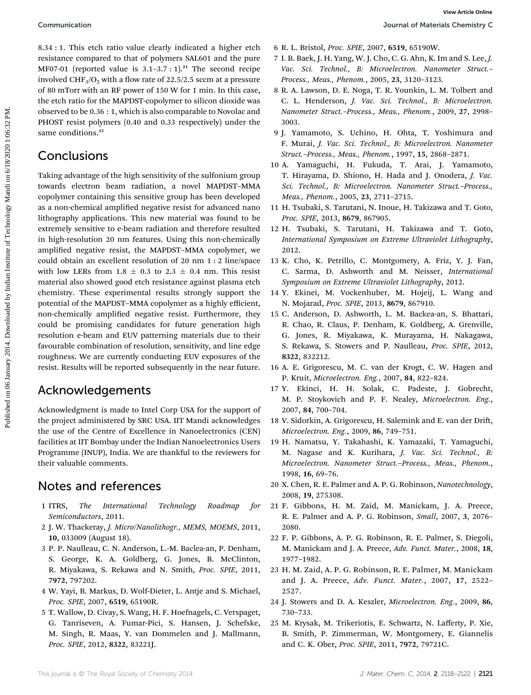8.34 : 1. This etch ratio value clearly indicated a higher etch resistance compared to that of polymers SAL601 and the pure MF07-01 (reported value is  $3.1-3.7:1$ ).<sup>21</sup> The second recipe involved CHF<sub>3</sub>/O<sub>2</sub> with a flow rate of 22.5/2.5 sccm at a pressure of 80 mTorr with an RF power of 150 W for 1 min. In this case, the etch ratio for the MAPDST-copolymer to silicon dioxide was observed to be 0.36 : 1, which is also comparable to Novolac and PHOST resist polymers (0.40 and 0.33 respectively) under the same conditions.<sup>32</sup>

#### Conclusions

Taking advantage of the high sensitivity of the sulfonium group towards electron beam radiation, a novel MAPDST–MMA copolymer containing this sensitive group has been developed as a non-chemical amplified negative resist for advanced nano lithography applications. This new material was found to be extremely sensitive to e-beam radiation and therefore resulted in high-resolution 20 nm features. Using this non-chemically amplified negative resist, the MAPDST-MMA copolymer, we could obtain an excellent resolution of 20 nm 1 : 2 line/space with low LERs from 1.8  $\pm$  0.3 to 2.3  $\pm$  0.4 nm. This resist material also showed good etch resistance against plasma etch chemistry. These experimental results strongly support the potential of the MAPDST–MMA copolymer as a highly efficient, non-chemically amplified negative resist. Furthermore, they could be promising candidates for future generation high resolution e-beam and EUV patterning materials due to their favourable combination of resolution, sensitivity, and line edge roughness. We are currently conducting EUV exposures of the resist. Results will be reported subsequently in the near future. Commutication 32.11.1 This control is the control of the state of the state of the state of the state of the state of the state of the state of the state of the state of the state of the state of the state of the state of

#### Acknowledgements

Acknowledgment is made to Intel Corp USA for the support of the project administered by SRC USA. IIT Mandi acknowledges the use of the Centre of Excellence in Nanoelectronics (CEN) facilities at IIT Bombay under the Indian Nanoelectronics Users Programme (INUP), India. We are thankful to the reviewers for their valuable comments.

### Notes and references

- 1 ITRS, The International Technology Roadmap for Semiconductors, 2011.
- 2 J. W. Thackeray, J. Micro/Nanolithogr., MEMS, MOEMS, 2011, 10, 033009 (August 18).
- 3 P. P. Naulleau, C. N. Anderson, L.-M. Baclea-an, P. Denham, S. George, K. A. Goldberg, G. Jones, B. McClinton, R. Miyakawa, S. Rekawa and N. Smith, Proc. SPIE, 2011, 7972, 797202.
- 4 W. Yayi, B. Markus, D. Wolf-Dieter, L. Antje and S. Michael, Proc. SPIE, 2007, 6519, 65190R.
- 5 T. Wallow, D. Civay, S. Wang, H. F. Hoefnagels, C. Verspaget, G. Tanriseven, A. Fumar-Pici, S. Hansen, J. Schefske, M. Singh, R. Maas, Y. van Dommelen and J. Mallmann, Proc. SPIE, 2012, 8322, 83221J.
- 6 R. L. Bristol, Proc. SPIE, 2007, 6519, 65190W.
- 7 I. B. Baek, J. H. Yang, W. J. Cho, C. G. Ahn, K. Im and S. Lee, J. Vac. Sci. Technol., B: Microelectron. Nanometer Struct.-Process., Meas., Phenom., 2005, 23, 3120–3123.
- 8 R. A. Lawson, D. E. Noga, T. R. Younkin, L. M. Tolbert and C. L. Henderson, J. Vac. Sci. Technol., B: Microelectron. Nanometer Struct.–Process., Meas., Phenom., 2009, 27, 2998– 3003.
- 9 J. Yamamoto, S. Uchino, H. Ohta, T. Yoshimura and F. Murai, J. Vac. Sci. Technol., B: Microelectron. Nanometer Struct.–Process., Meas., Phenom., 1997, 15, 2868–2871.
- 10 A. Yamaguchi, H. Fukuda, T. Arai, J. Yamamoto, T. Hirayama, D. Shiono, H. Hada and J. Onodera, J. Vac. Sci. Technol., B: Microelectron. Nanometer Struct.–Process., Meas., Phenom., 2005, 23, 2711–2715.
- 11 H. Tsubaki, S. Tarutani, N. Inoue, H. Takizawa and T. Goto, Proc. SPIE, 2013, 8679, 867905.
- 12 H. Tsubaki, S. Tarutani, H. Takizawa and T. Goto, International Symposium on Extreme Ultraviolet Lithography, 2012.
- 13 K. Cho, K. Petrillo, C. Montgomery, A. Friz, Y. J. Fan, C. Sarma, D. Ashworth and M. Neisser, International Symposium on Extreme Ultraviolet Lithography, 2012.
- 14 Y. Ekinei, M. Vockenhuber, M. Hojeij, L. Wang and N. Mojarad, Proc. SPIE, 2013, 8679, 867910.
- 15 C. Anderson, D. Ashworth, L. M. Backea-an, S. Bhattari, R. Chao, R. Claus, P. Denham, K. Goldberg, A. Grenville, G. Jones, R. Miyakawa, K. Murayama, H. Nakagawa, S. Rekawa, S. Stowers and P. Naulleau, Proc. SPIE, 2012, 8322, 832212.
- 16 A. E. Grigorescu, M. C. van der Krogt, C. W. Hagen and P. Kruit, Microelectron. Eng., 2007, 84, 822–824.
- 17 Y. Ekinci, H. H. Solak, C. Padeste, J. Gobrecht, M. P. Stoykovich and P. F. Nealey, Microelectron. Eng., 2007, 84, 700–704.
- 18 V. Sidorkin, A. Grigorescu, H. Salemink and E. van der Drift, Microelectron. Eng., 2009, 86, 749–751.
- 19 H. Namatsu, Y. Takahashi, K. Yamazaki, T. Yamaguchi, M. Nagase and K. Kurihara, J. Vac. Sci. Technol., B: Microelectron. Nanometer Struct.–Process., Meas., Phenom., 1998, 16, 69–76.
- 20 X. Chen, R. E. Palmer and A. P. G. Robinson, Nanotechnology, 2008, 19, 275308.
- 21 F. Gibbons, H. M. Zaid, M. Manickam, J. A. Preece, R. E. Palmer and A. P. G. Robinson, Small, 2007, 3, 2076– 2080.
- 22 F. P. Gibbons, A. P. G. Robinson, R. E. Palmer, S. Diegoli, M. Manickam and J. A. Preece, Adv. Funct. Mater., 2008, 18, 1977–1982.
- 23 H. M. Zaid, A. P. G. Robinson, R. E. Palmer, M. Manickam and J. A. Preece, Adv. Funct. Mater., 2007, 17, 2522– 2527.
- 24 J. Stowers and D. A. Keszler, Microelectron. Eng., 2009, 86, 730–733.
- 25 M. Krysak, M. Trikeriotis, E. Schwartz, N. Lafferty, P. Xie, B. Smith, P. Zimmerman, W. Montgomery, E. Giannelis and C. K. Ober, Proc. SPIE, 2011, 7972, 79721C.